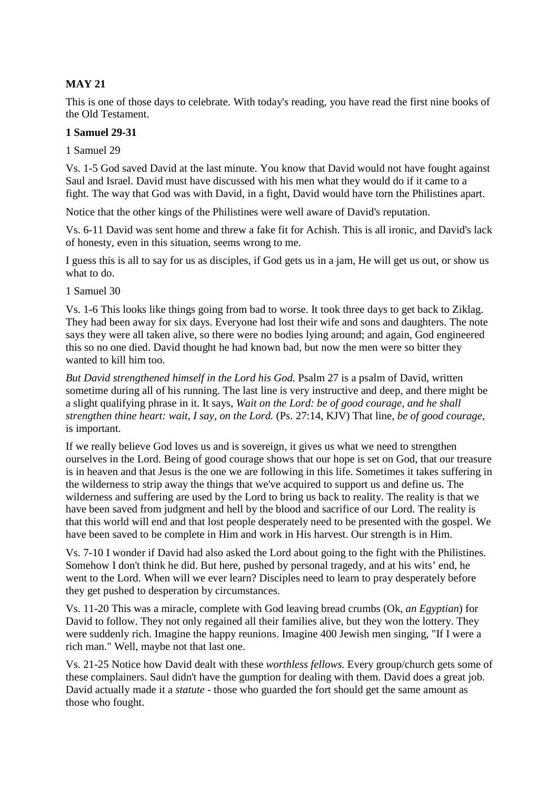# **MAY 21**

This is one of those days to celebrate. With today's reading, you have read the first nine books of the Old Testament.

### **1 Samuel 29-31**

1 Samuel 29

Vs. 1-5 God saved David at the last minute. You know that David would not have fought against Saul and Israel. David must have discussed with his men what they would do if it came to a fight. The way that God was with David, in a fight, David would have torn the Philistines apart.

Notice that the other kings of the Philistines were well aware of David's reputation.

Vs. 6-11 David was sent home and threw a fake fit for Achish. This is all ironic, and David's lack of honesty, even in this situation, seems wrong to me.

I guess this is all to say for us as disciples, if God gets us in a jam, He will get us out, or show us what to do.

1 Samuel 30

Vs. 1-6 This looks like things going from bad to worse. It took three days to get back to Ziklag. They had been away for six days. Everyone had lost their wife and sons and daughters. The note says they were all taken alive, so there were no bodies lying around; and again, God engineered this so no one died. David thought he had known bad, but now the men were so bitter they wanted to kill him too.

*But David strengthened himself in the Lord his God.* Psalm 27 is a psalm of David, written sometime during all of his running. The last line is very instructive and deep, and there might be a slight qualifying phrase in it. It says, *Wait on the Lord: be of good courage, and he shall strengthen thine heart: wait, I say, on the Lord.* (Ps. 27:14, KJV) That line, *be of good courage*, is important.

If we really believe God loves us and is sovereign, it gives us what we need to strengthen ourselves in the Lord. Being of good courage shows that our hope is set on God, that our treasure is in heaven and that Jesus is the one we are following in this life. Sometimes it takes suffering in the wilderness to strip away the things that we've acquired to support us and define us. The wilderness and suffering are used by the Lord to bring us back to reality. The reality is that we have been saved from judgment and hell by the blood and sacrifice of our Lord. The reality is that this world will end and that lost people desperately need to be presented with the gospel. We have been saved to be complete in Him and work in His harvest. Our strength is in Him.

Vs. 7-10 I wonder if David had also asked the Lord about going to the fight with the Philistines. Somehow I don't think he did. But here, pushed by personal tragedy, and at his wits' end, he went to the Lord. When will we ever learn? Disciples need to learn to pray desperately before they get pushed to desperation by circumstances.

Vs. 11-20 This was a miracle, complete with God leaving bread crumbs (Ok, *an Egyptian*) for David to follow. They not only regained all their families alive, but they won the lottery. They were suddenly rich. Imagine the happy reunions. Imagine 400 Jewish men singing, "If I were a rich man." Well, maybe not that last one.

Vs. 21-25 Notice how David dealt with these *worthless fellows.* Every group/church gets some of these complainers. Saul didn't have the gumption for dealing with them. David does a great job. David actually made it a *statute* - those who guarded the fort should get the same amount as those who fought.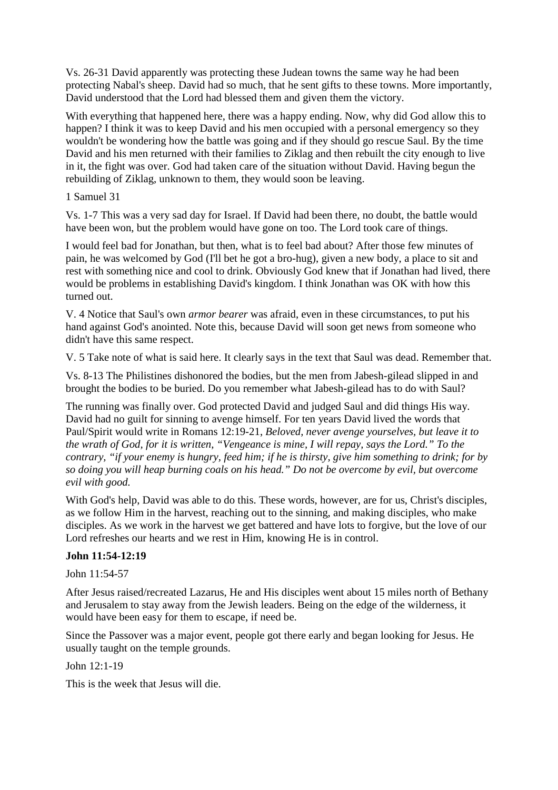Vs. 26-31 David apparently was protecting these Judean towns the same way he had been protecting Nabal's sheep. David had so much, that he sent gifts to these towns. More importantly, David understood that the Lord had blessed them and given them the victory.

With everything that happened here, there was a happy ending. Now, why did God allow this to happen? I think it was to keep David and his men occupied with a personal emergency so they wouldn't be wondering how the battle was going and if they should go rescue Saul. By the time David and his men returned with their families to Ziklag and then rebuilt the city enough to live in it, the fight was over. God had taken care of the situation without David. Having begun the rebuilding of Ziklag, unknown to them, they would soon be leaving.

## 1 Samuel 31

Vs. 1-7 This was a very sad day for Israel. If David had been there, no doubt, the battle would have been won, but the problem would have gone on too. The Lord took care of things.

I would feel bad for Jonathan, but then, what is to feel bad about? After those few minutes of pain, he was welcomed by God (I'll bet he got a bro-hug), given a new body, a place to sit and rest with something nice and cool to drink. Obviously God knew that if Jonathan had lived, there would be problems in establishing David's kingdom. I think Jonathan was OK with how this turned out.

V. 4 Notice that Saul's own *armor bearer* was afraid, even in these circumstances, to put his hand against God's anointed. Note this, because David will soon get news from someone who didn't have this same respect.

V. 5 Take note of what is said here. It clearly says in the text that Saul was dead. Remember that.

Vs. 8-13 The Philistines dishonored the bodies, but the men from Jabesh-gilead slipped in and brought the bodies to be buried. Do you remember what Jabesh-gilead has to do with Saul?

The running was finally over. God protected David and judged Saul and did things His way. David had no guilt for sinning to avenge himself. For ten years David lived the words that Paul/Spirit would write in Romans 12:19-21, *Beloved, never avenge yourselves, but leave it to the wrath of God, for it is written, "Vengeance is mine, I will repay, says the Lord." To the contrary, "if your enemy is hungry, feed him; if he is thirsty, give him something to drink; for by so doing you will heap burning coals on his head." Do not be overcome by evil, but overcome evil with good.* 

With God's help, David was able to do this. These words, however, are for us, Christ's disciples, as we follow Him in the harvest, reaching out to the sinning, and making disciples, who make disciples. As we work in the harvest we get battered and have lots to forgive, but the love of our Lord refreshes our hearts and we rest in Him, knowing He is in control.

# **John 11:54-12:19**

John 11:54-57

After Jesus raised/recreated Lazarus, He and His disciples went about 15 miles north of Bethany and Jerusalem to stay away from the Jewish leaders. Being on the edge of the wilderness, it would have been easy for them to escape, if need be.

Since the Passover was a major event, people got there early and began looking for Jesus. He usually taught on the temple grounds.

John 12:1-19

This is the week that Jesus will die.